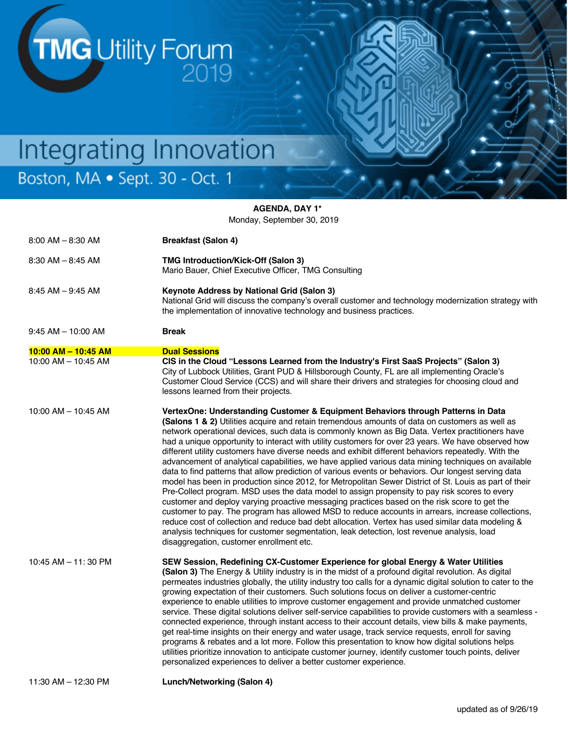TMG Utility Forum

# Integrating Innovation Boston, MA · Sept. 30 - Oct. 1

**AGENDA, DAY 1\*** Monday, September 30, 2019

| $8:00$ AM $- 8:30$ AM    | <b>Breakfast (Salon 4)</b>                                                                                                                                                                                                                                                                                                                                                                                                                                                                                                                                                                                                                                                                                                                                                                                                                                                                                                                                                                                                                                                                                                                                                                                                                                                                                                                                                        |
|--------------------------|-----------------------------------------------------------------------------------------------------------------------------------------------------------------------------------------------------------------------------------------------------------------------------------------------------------------------------------------------------------------------------------------------------------------------------------------------------------------------------------------------------------------------------------------------------------------------------------------------------------------------------------------------------------------------------------------------------------------------------------------------------------------------------------------------------------------------------------------------------------------------------------------------------------------------------------------------------------------------------------------------------------------------------------------------------------------------------------------------------------------------------------------------------------------------------------------------------------------------------------------------------------------------------------------------------------------------------------------------------------------------------------|
| $8:30$ AM $-8:45$ AM     | TMG Introduction/Kick-Off (Salon 3)<br>Mario Bauer, Chief Executive Officer, TMG Consulting                                                                                                                                                                                                                                                                                                                                                                                                                                                                                                                                                                                                                                                                                                                                                                                                                                                                                                                                                                                                                                                                                                                                                                                                                                                                                       |
| $8:45$ AM $-9:45$ AM     | Keynote Address by National Grid (Salon 3)<br>National Grid will discuss the company's overall customer and technology modernization strategy with<br>the implementation of innovative technology and business practices.                                                                                                                                                                                                                                                                                                                                                                                                                                                                                                                                                                                                                                                                                                                                                                                                                                                                                                                                                                                                                                                                                                                                                         |
| $9:45$ AM $-$ 10:00 AM   | <b>Break</b>                                                                                                                                                                                                                                                                                                                                                                                                                                                                                                                                                                                                                                                                                                                                                                                                                                                                                                                                                                                                                                                                                                                                                                                                                                                                                                                                                                      |
| $10:00$ AM $-$ 10:45 AM  | <b>Dual Sessions</b>                                                                                                                                                                                                                                                                                                                                                                                                                                                                                                                                                                                                                                                                                                                                                                                                                                                                                                                                                                                                                                                                                                                                                                                                                                                                                                                                                              |
| $10:00$ AM $-$ 10:45 AM  | CIS in the Cloud "Lessons Learned from the Industry's First SaaS Projects" (Salon 3)<br>City of Lubbock Utilities, Grant PUD & Hillsborough County, FL are all implementing Oracle's<br>Customer Cloud Service (CCS) and will share their drivers and strategies for choosing cloud and<br>lessons learned from their projects.                                                                                                                                                                                                                                                                                                                                                                                                                                                                                                                                                                                                                                                                                                                                                                                                                                                                                                                                                                                                                                                   |
| $10:00$ AM $-$ 10:45 AM  | VertexOne: Understanding Customer & Equipment Behaviors through Patterns in Data<br>(Salons 1 & 2) Utilities acquire and retain tremendous amounts of data on customers as well as<br>network operational devices, such data is commonly known as Big Data. Vertex practitioners have<br>had a unique opportunity to interact with utility customers for over 23 years. We have observed how<br>different utility customers have diverse needs and exhibit different behaviors repeatedly. With the<br>advancement of analytical capabilities, we have applied various data mining techniques on available<br>data to find patterns that allow prediction of various events or behaviors. Our longest serving data<br>model has been in production since 2012, for Metropolitan Sewer District of St. Louis as part of their<br>Pre-Collect program. MSD uses the data model to assign propensity to pay risk scores to every<br>customer and deploy varying proactive messaging practices based on the risk score to get the<br>customer to pay. The program has allowed MSD to reduce accounts in arrears, increase collections,<br>reduce cost of collection and reduce bad debt allocation. Vertex has used similar data modeling &<br>analysis techniques for customer segmentation, leak detection, lost revenue analysis, load<br>disaggregation, customer enrollment etc. |
| $10:45$ AM $-$ 11: 30 PM | SEW Session, Redefining CX-Customer Experience for global Energy & Water Utilities<br>(Salon 3) The Energy & Utility industry is in the midst of a profound digital revolution. As digital<br>permeates industries globally, the utility industry too calls for a dynamic digital solution to cater to the<br>growing expectation of their customers. Such solutions focus on deliver a customer-centric<br>experience to enable utilities to improve customer engagement and provide unmatched customer<br>service. These digital solutions deliver self-service capabilities to provide customers with a seamless -<br>connected experience, through instant access to their account details, view bills & make payments,<br>get real-time insights on their energy and water usage, track service requests, enroll for saving<br>programs & rebates and a lot more. Follow this presentation to know how digital solutions helps<br>utilities prioritize innovation to anticipate customer journey, identify customer touch points, deliver<br>personalized experiences to deliver a better customer experience.                                                                                                                                                                                                                                                               |
| 11:30 AM - 12:30 PM      | Lunch/Networking (Salon 4)                                                                                                                                                                                                                                                                                                                                                                                                                                                                                                                                                                                                                                                                                                                                                                                                                                                                                                                                                                                                                                                                                                                                                                                                                                                                                                                                                        |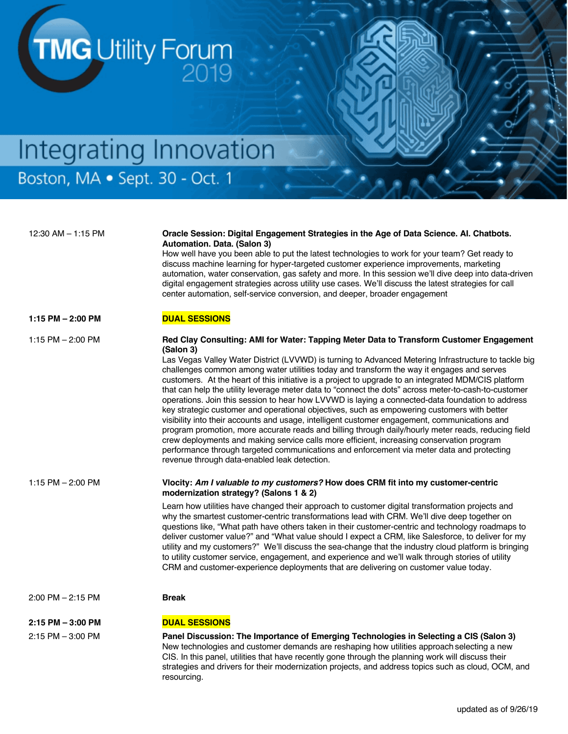

## Integrating Innovation Boston, MA · Sept. 30 - Oct. 1

### 12:30 AM – 1:15 PM **Oracle Session: Digital Engagement Strategies in the Age of Data Science. AI. Chatbots. Automation. Data. (Salon 3)** How well have you been able to put the latest technologies to work for your team? Get ready to

discuss machine learning for hyper-targeted customer experience improvements, marketing automation, water conservation, gas safety and more. In this session we'll dive deep into data-driven digital engagement strategies across utility use cases. We'll discuss the latest strategies for call center automation, self-service conversion, and deeper, broader engagement

### 1:15 PM – 2:00 PM **DUAL SESSIONS**

#### 1:15 PM – 2:00 PM **Red Clay Consulting: AMI for Water: Tapping Meter Data to Transform Customer Engagement (Salon 3)**

Las Vegas Valley Water District (LVVWD) is turning to Advanced Metering Infrastructure to tackle big challenges common among water utilities today and transform the way it engages and serves customers. At the heart of this initiative is a project to upgrade to an integrated MDM/CIS platform that can help the utility leverage meter data to "connect the dots" across meter-to-cash-to-customer operations. Join this session to hear how LVVWD is laying a connected-data foundation to address key strategic customer and operational objectives, such as empowering customers with better visibility into their accounts and usage, intelligent customer engagement, communications and program promotion, more accurate reads and billing through daily/hourly meter reads, reducing field crew deployments and making service calls more efficient, increasing conservation program performance through targeted communications and enforcement via meter data and protecting revenue through data-enabled leak detection.

1:15 PM – 2:00 PM **Vlocity:** *Am I valuable to my customers?* **How does CRM fit into my customer-centric modernization strategy? (Salons 1 & 2)**

> Learn how utilities have changed their approach to customer digital transformation projects and why the smartest customer-centric transformations lead with CRM. We'll dive deep together on questions like, "What path have others taken in their customer-centric and technology roadmaps to deliver customer value?" and "What value should I expect a CRM, like Salesforce, to deliver for my utility and my customers?" We'll discuss the sea-change that the industry cloud platform is bringing to utility customer service, engagement, and experience and we'll walk through stories of utility CRM and customer-experience deployments that are delivering on customer value today.

#### 2:00 PM – 2:15 PM **Break**

#### **2:15 PM – 3:00 PM DUAL SESSIONS**

2:15 PM – 3:00 PM **Panel Discussion: The Importance of Emerging Technologies in Selecting a CIS (Salon 3)**  New technologies and customer demands are reshaping how utilities approach selecting a new CIS. In this panel, utilities that have recently gone through the planning work will discuss their strategies and drivers for their modernization projects, and address topics such as cloud, OCM, and resourcing.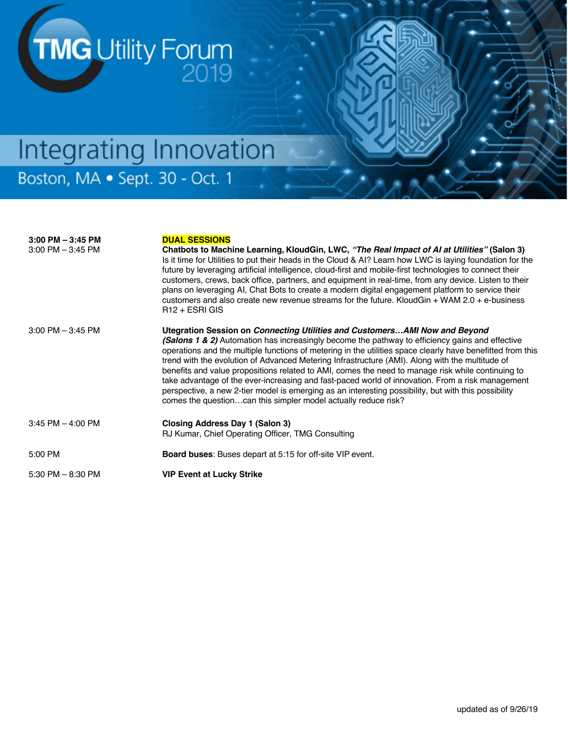

### **3:00 PM – 3:45 PM DUAL SESSIONS** 3:00 PM – 3:45 PM **Chatbots to Machine Learning, KloudGin, LWC,** *"The Real Impact of AI at Utilities"* **(Salon 3)**  Is it time for Utilities to put their heads in the Cloud & AI? Learn how LWC is laying foundation for the future by leveraging artificial intelligence, cloud-first and mobile-first technologies to connect their customers, crews, back office, partners, and equipment in real-time, from any device. Listen to their plans on leveraging AI, Chat Bots to create a modern digital engagement platform to service their customers and also create new revenue streams for the future. KloudGin + WAM 2.0 + e-business R12 + ESRI GIS 3:00 PM – 3:45 PM **Utegration Session on** *Connecting Utilities and Customers…AMI Now and Beyond (Salons 1 & 2)* Automation has increasingly become the pathway to efficiency gains and effective operations and the multiple functions of metering in the utilities space clearly have benefitted from this trend with the evolution of Advanced Metering Infrastructure (AMI). Along with the multitude of benefits and value propositions related to AMI, comes the need to manage risk while continuing to take advantage of the ever-increasing and fast-paced world of innovation. From a risk management perspective, a new 2-tier model is emerging as an interesting possibility, but with this possibility comes the question…can this simpler model actually reduce risk? 3:45 PM – 4:00 PM **Closing Address Day 1 (Salon 3)** RJ Kumar, Chief Operating Officer, TMG Consulting 5:00 PM **Board buses**: Buses depart at 5:15 for off-site VIP event. 5:30 PM – 8:30 PM **VIP Event at Lucky Strike**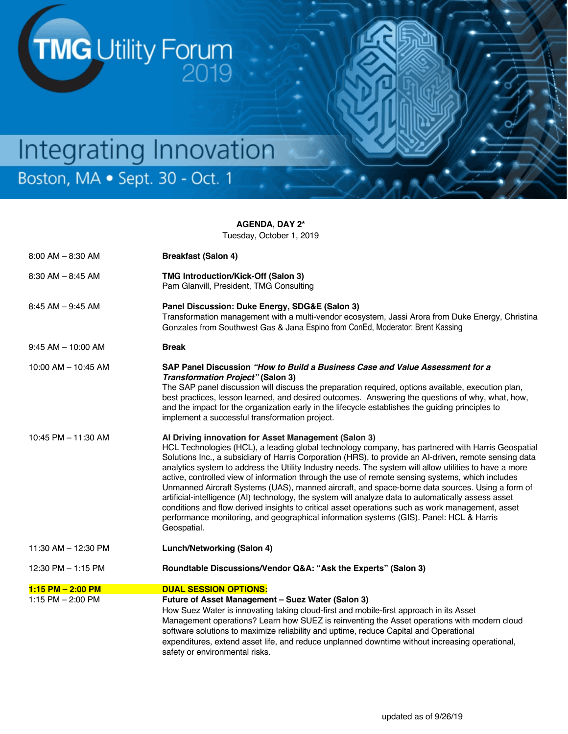

**AGENDA, DAY 2\***

Tuesday, October 1, 2019

| $8:00$ AM $- 8:30$ AM                        | <b>Breakfast (Salon 4)</b>                                                                                                                                                                                                                                                                                                                                                                                                                                                                                                                                                                                                                                                                                                                                                                                                                                                                                |
|----------------------------------------------|-----------------------------------------------------------------------------------------------------------------------------------------------------------------------------------------------------------------------------------------------------------------------------------------------------------------------------------------------------------------------------------------------------------------------------------------------------------------------------------------------------------------------------------------------------------------------------------------------------------------------------------------------------------------------------------------------------------------------------------------------------------------------------------------------------------------------------------------------------------------------------------------------------------|
| $8:30$ AM $- 8:45$ AM                        | <b>TMG Introduction/Kick-Off (Salon 3)</b><br>Pam Glanvill, President, TMG Consulting                                                                                                                                                                                                                                                                                                                                                                                                                                                                                                                                                                                                                                                                                                                                                                                                                     |
| $8:45$ AM $-9:45$ AM                         | Panel Discussion: Duke Energy, SDG&E (Salon 3)<br>Transformation management with a multi-vendor ecosystem, Jassi Arora from Duke Energy, Christina<br>Gonzales from Southwest Gas & Jana Espino from ConEd, Moderator: Brent Kassing                                                                                                                                                                                                                                                                                                                                                                                                                                                                                                                                                                                                                                                                      |
| $9:45$ AM $-$ 10:00 AM                       | <b>Break</b>                                                                                                                                                                                                                                                                                                                                                                                                                                                                                                                                                                                                                                                                                                                                                                                                                                                                                              |
| 10:00 AM - 10:45 AM                          | SAP Panel Discussion "How to Build a Business Case and Value Assessment for a<br><b>Transformation Project"</b> (Salon 3)<br>The SAP panel discussion will discuss the preparation required, options available, execution plan,<br>best practices, lesson learned, and desired outcomes. Answering the questions of why, what, how,<br>and the impact for the organization early in the lifecycle establishes the guiding principles to<br>implement a successful transformation project.                                                                                                                                                                                                                                                                                                                                                                                                                 |
| 10:45 PM - 11:30 AM                          | Al Driving innovation for Asset Management (Salon 3)<br>HCL Technologies (HCL), a leading global technology company, has partnered with Harris Geospatial<br>Solutions Inc., a subsidiary of Harris Corporation (HRS), to provide an Al-driven, remote sensing data<br>analytics system to address the Utility Industry needs. The system will allow utilities to have a more<br>active, controlled view of information through the use of remote sensing systems, which includes<br>Unmanned Aircraft Systems (UAS), manned aircraft, and space-borne data sources. Using a form of<br>artificial-intelligence (AI) technology, the system will analyze data to automatically assess asset<br>conditions and flow derived insights to critical asset operations such as work management, asset<br>performance monitoring, and geographical information systems (GIS). Panel: HCL & Harris<br>Geospatial. |
| 11:30 AM - 12:30 PM                          | Lunch/Networking (Salon 4)                                                                                                                                                                                                                                                                                                                                                                                                                                                                                                                                                                                                                                                                                                                                                                                                                                                                                |
| 12:30 PM - 1:15 PM                           | Roundtable Discussions/Vendor Q&A: "Ask the Experts" (Salon 3)                                                                                                                                                                                                                                                                                                                                                                                                                                                                                                                                                                                                                                                                                                                                                                                                                                            |
| $1:15$ PM $- 2:00$ PM<br>1:15 PM $- 2:00$ PM | <b>DUAL SESSION OPTIONS:</b><br>Future of Asset Management - Suez Water (Salon 3)<br>How Suez Water is innovating taking cloud-first and mobile-first approach in its Asset<br>Management operations? Learn how SUEZ is reinventing the Asset operations with modern cloud<br>software solutions to maximize reliability and uptime, reduce Capital and Operational<br>expenditures, extend asset life, and reduce unplanned downtime without increasing operational,<br>safety or environmental risks.                                                                                                                                                                                                                                                                                                                                                                                                   |